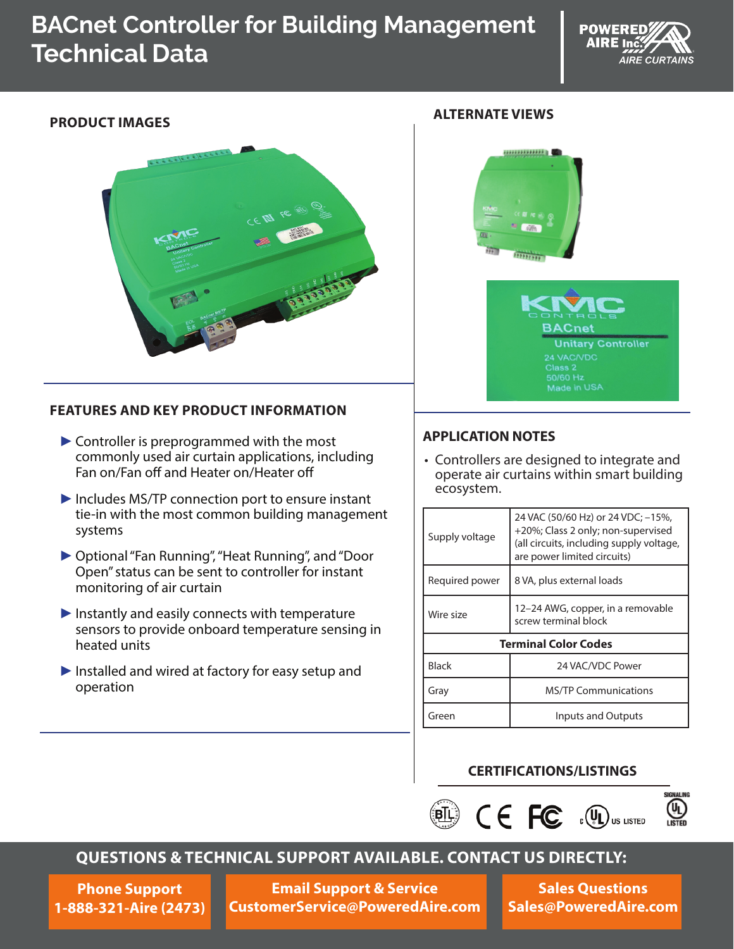# **BACnet Controller for Building Management Technical Data**





#### **FEATURES AND KEY PRODUCT INFORMATION**

- $\triangleright$  Controller is preprogrammed with the most commonly used air curtain applications, including Fan on/Fan off and Heater on/Heater off
- ►Includes MS/TP connection port to ensure instant tie-in with the most common building management systems
- ►Optional "Fan Running", "Heat Running", and "Door Open" status can be sent to controller for instant monitoring of air curtain
- $\blacktriangleright$  Instantly and easily connects with temperature sensors to provide onboard temperature sensing in heated units
- ►Installed and wired at factory for easy setup and operation

## **ALTERNATE VIEWS PRODUCT IMAGES**





#### **APPLICATION NOTES**

• Controllers are designed to integrate and operate air curtains within smart building ecosystem.

| Supply voltage              | 24 VAC (50/60 Hz) or 24 VDC; -15%,<br>+20%; Class 2 only; non-supervised<br>(all circuits, including supply voltage,<br>are power limited circuits) |  |  |
|-----------------------------|-----------------------------------------------------------------------------------------------------------------------------------------------------|--|--|
| Required power              | 8 VA, plus external loads                                                                                                                           |  |  |
| Wire size                   | 12–24 AWG, copper, in a removable<br>screw terminal block                                                                                           |  |  |
| <b>Terminal Color Codes</b> |                                                                                                                                                     |  |  |
| Black                       | 24 VAC/VDC Power                                                                                                                                    |  |  |
| Gray                        | <b>MS/TP Communications</b>                                                                                                                         |  |  |
| Green                       | Inputs and Outputs                                                                                                                                  |  |  |

#### **CERTIFICATIONS/LISTINGS**





## **QUESTIONS & TECHNICAL SUPPORT AVAILABLE. CONTACT US DIRECTLY:**

**Phone Support 1-888-321-Aire (2473)**

**Email Support & Service CustomerService@PoweredAire.com**

**Sales Questions Sales@PoweredAire.com**